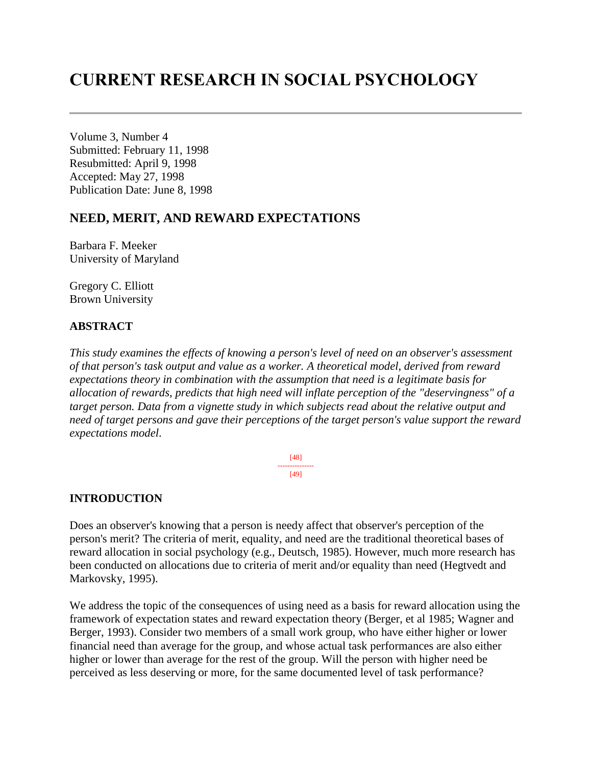# **CURRENT RESEARCH IN SOCIAL PSYCHOLOGY**

Volume 3, Number 4 Submitted: February 11, 1998 Resubmitted: April 9, 1998 Accepted: May 27, 1998 Publication Date: June 8, 1998

# **NEED, MERIT, AND REWARD EXPECTATIONS**

Barbara F. Meeker University of Maryland

Gregory C. Elliott Brown University

# **ABSTRACT**

*This study examines the effects of knowing a person's level of need on an observer's assessment of that person's task output and value as a worker. A theoretical model, derived from reward expectations theory in combination with the assumption that need is a legitimate basis for allocation of rewards, predicts that high need will inflate perception of the "deservingness" of a target person. Data from a vignette study in which subjects read about the relative output and need of target persons and gave their perceptions of the target person's value support the reward expectations model*.

> [48] --------------- [49]

## **INTRODUCTION**

Does an observer's knowing that a person is needy affect that observer's perception of the person's merit? The criteria of merit, equality, and need are the traditional theoretical bases of reward allocation in social psychology (e.g., Deutsch, 1985). However, much more research has been conducted on allocations due to criteria of merit and/or equality than need (Hegtvedt and Markovsky, 1995).

We address the topic of the consequences of using need as a basis for reward allocation using the framework of expectation states and reward expectation theory (Berger, et al 1985; Wagner and Berger, 1993). Consider two members of a small work group, who have either higher or lower financial need than average for the group, and whose actual task performances are also either higher or lower than average for the rest of the group. Will the person with higher need be perceived as less deserving or more, for the same documented level of task performance?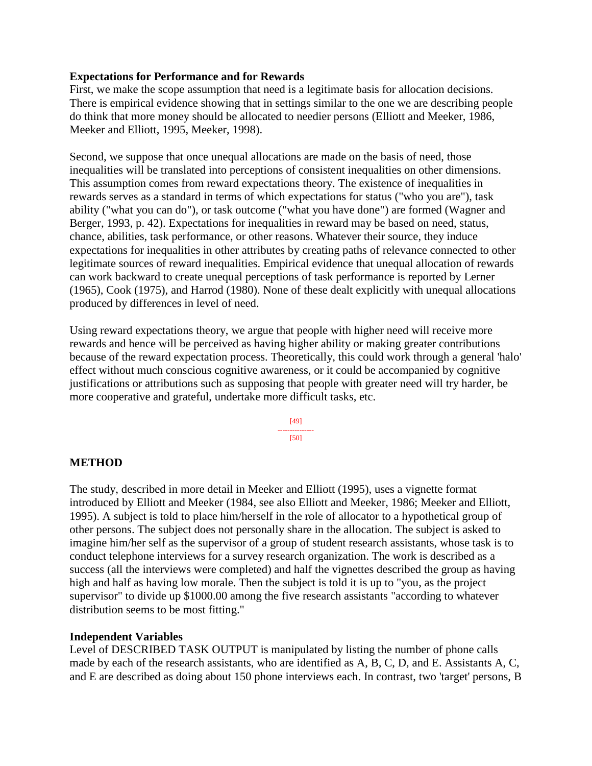## **Expectations for Performance and for Rewards**

First, we make the scope assumption that need is a legitimate basis for allocation decisions. There is empirical evidence showing that in settings similar to the one we are describing people do think that more money should be allocated to needier persons (Elliott and Meeker, 1986, Meeker and Elliott, 1995, Meeker, 1998).

Second, we suppose that once unequal allocations are made on the basis of need, those inequalities will be translated into perceptions of consistent inequalities on other dimensions. This assumption comes from reward expectations theory. The existence of inequalities in rewards serves as a standard in terms of which expectations for status ("who you are"), task ability ("what you can do"), or task outcome ("what you have done") are formed (Wagner and Berger, 1993, p. 42). Expectations for inequalities in reward may be based on need, status, chance, abilities, task performance, or other reasons. Whatever their source, they induce expectations for inequalities in other attributes by creating paths of relevance connected to other legitimate sources of reward inequalities. Empirical evidence that unequal allocation of rewards can work backward to create unequal perceptions of task performance is reported by Lerner (1965), Cook (1975), and Harrod (1980). None of these dealt explicitly with unequal allocations produced by differences in level of need.

Using reward expectations theory, we argue that people with higher need will receive more rewards and hence will be perceived as having higher ability or making greater contributions because of the reward expectation process. Theoretically, this could work through a general 'halo' effect without much conscious cognitive awareness, or it could be accompanied by cognitive justifications or attributions such as supposing that people with greater need will try harder, be more cooperative and grateful, undertake more difficult tasks, etc.

> [49] --------------- [50]

## **METHOD**

The study, described in more detail in Meeker and Elliott (1995), uses a vignette format introduced by Elliott and Meeker (1984, see also Elliott and Meeker, 1986; Meeker and Elliott, 1995). A subject is told to place him/herself in the role of allocator to a hypothetical group of other persons. The subject does not personally share in the allocation. The subject is asked to imagine him/her self as the supervisor of a group of student research assistants, whose task is to conduct telephone interviews for a survey research organization. The work is described as a success (all the interviews were completed) and half the vignettes described the group as having high and half as having low morale. Then the subject is told it is up to "you, as the project supervisor" to divide up \$1000.00 among the five research assistants "according to whatever distribution seems to be most fitting."

#### **Independent Variables**

Level of DESCRIBED TASK OUTPUT is manipulated by listing the number of phone calls made by each of the research assistants, who are identified as A, B, C, D, and E. Assistants A, C, and E are described as doing about 150 phone interviews each. In contrast, two 'target' persons, B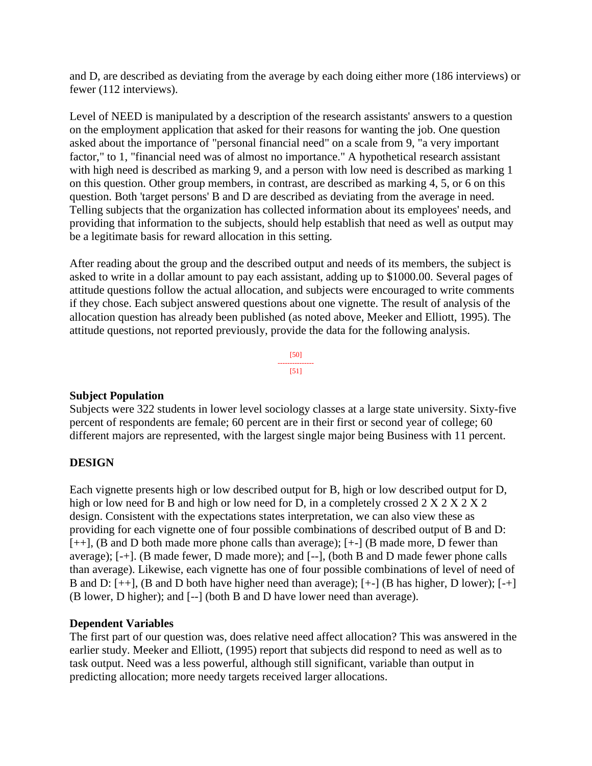and D, are described as deviating from the average by each doing either more (186 interviews) or fewer (112 interviews).

Level of NEED is manipulated by a description of the research assistants' answers to a question on the employment application that asked for their reasons for wanting the job. One question asked about the importance of "personal financial need" on a scale from 9, "a very important factor," to 1, "financial need was of almost no importance." A hypothetical research assistant with high need is described as marking 9, and a person with low need is described as marking 1 on this question. Other group members, in contrast, are described as marking 4, 5, or 6 on this question. Both 'target persons' B and D are described as deviating from the average in need. Telling subjects that the organization has collected information about its employees' needs, and providing that information to the subjects, should help establish that need as well as output may be a legitimate basis for reward allocation in this setting.

After reading about the group and the described output and needs of its members, the subject is asked to write in a dollar amount to pay each assistant, adding up to \$1000.00. Several pages of attitude questions follow the actual allocation, and subjects were encouraged to write comments if they chose. Each subject answered questions about one vignette. The result of analysis of the allocation question has already been published (as noted above, Meeker and Elliott, 1995). The attitude questions, not reported previously, provide the data for the following analysis.

> [50] --------------- [51]

## **Subject Population**

Subjects were 322 students in lower level sociology classes at a large state university. Sixty-five percent of respondents are female; 60 percent are in their first or second year of college; 60 different majors are represented, with the largest single major being Business with 11 percent.

# **DESIGN**

Each vignette presents high or low described output for B, high or low described output for D, high or low need for B and high or low need for D, in a completely crossed 2 X 2 X 2 X 2 design. Consistent with the expectations states interpretation, we can also view these as providing for each vignette one of four possible combinations of described output of B and D: [++], (B and D both made more phone calls than average); [+-] (B made more, D fewer than average); [-+]. (B made fewer, D made more); and [--], (both B and D made fewer phone calls than average). Likewise, each vignette has one of four possible combinations of level of need of B and D: [++], (B and D both have higher need than average); [+-] (B has higher, D lower); [-+] (B lower, D higher); and [--] (both B and D have lower need than average).

## **Dependent Variables**

The first part of our question was, does relative need affect allocation? This was answered in the earlier study. Meeker and Elliott, (1995) report that subjects did respond to need as well as to task output. Need was a less powerful, although still significant, variable than output in predicting allocation; more needy targets received larger allocations.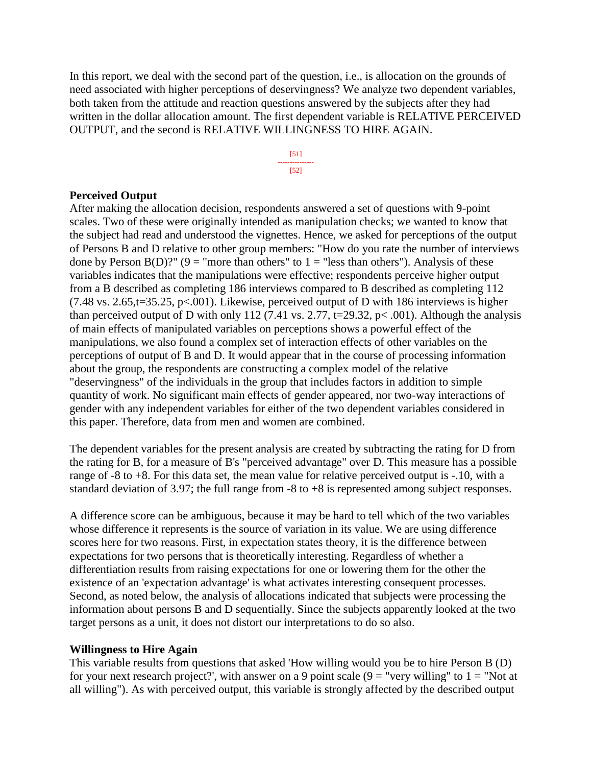In this report, we deal with the second part of the question, i.e., is allocation on the grounds of need associated with higher perceptions of deservingness? We analyze two dependent variables, both taken from the attitude and reaction questions answered by the subjects after they had written in the dollar allocation amount. The first dependent variable is RELATIVE PERCEIVED OUTPUT, and the second is RELATIVE WILLINGNESS TO HIRE AGAIN.



#### **Perceived Output**

After making the allocation decision, respondents answered a set of questions with 9-point scales. Two of these were originally intended as manipulation checks; we wanted to know that the subject had read and understood the vignettes. Hence, we asked for perceptions of the output of Persons B and D relative to other group members: "How do you rate the number of interviews done by Person B(D)?" (9 = "more than others" to  $1 =$  "less than others"). Analysis of these variables indicates that the manipulations were effective; respondents perceive higher output from a B described as completing 186 interviews compared to B described as completing 112 (7.48 vs. 2.65,t=35.25, p<.001). Likewise, perceived output of D with 186 interviews is higher than perceived output of D with only 112 (7.41 vs. 2.77, t=29.32, p< .001). Although the analysis of main effects of manipulated variables on perceptions shows a powerful effect of the manipulations, we also found a complex set of interaction effects of other variables on the perceptions of output of B and D. It would appear that in the course of processing information about the group, the respondents are constructing a complex model of the relative "deservingness" of the individuals in the group that includes factors in addition to simple quantity of work. No significant main effects of gender appeared, nor two-way interactions of gender with any independent variables for either of the two dependent variables considered in this paper. Therefore, data from men and women are combined.

The dependent variables for the present analysis are created by subtracting the rating for D from the rating for B, for a measure of B's "perceived advantage" over D. This measure has a possible range of -8 to +8. For this data set, the mean value for relative perceived output is -.10, with a standard deviation of 3.97; the full range from -8 to +8 is represented among subject responses.

A difference score can be ambiguous, because it may be hard to tell which of the two variables whose difference it represents is the source of variation in its value. We are using difference scores here for two reasons. First, in expectation states theory, it is the difference between expectations for two persons that is theoretically interesting. Regardless of whether a differentiation results from raising expectations for one or lowering them for the other the existence of an 'expectation advantage' is what activates interesting consequent processes. Second, as noted below, the analysis of allocations indicated that subjects were processing the information about persons B and D sequentially. Since the subjects apparently looked at the two target persons as a unit, it does not distort our interpretations to do so also.

#### **Willingness to Hire Again**

This variable results from questions that asked 'How willing would you be to hire Person B (D) for your next research project?', with answer on a 9 point scale  $(9 = "very willing" to 1 = "Not at")$ all willing"). As with perceived output, this variable is strongly affected by the described output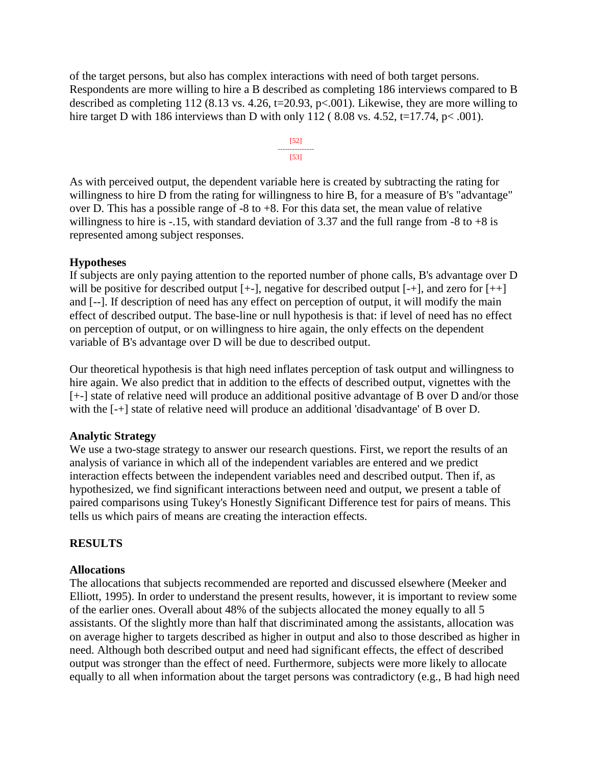of the target persons, but also has complex interactions with need of both target persons. Respondents are more willing to hire a B described as completing 186 interviews compared to B described as completing 112 (8.13 vs. 4.26, t=20.93, p<.001). Likewise, they are more willing to hire target D with 186 interviews than D with only 112 (8.08 vs. 4.52, t=17.74, p< .001).

> [52] --------------- [53]

As with perceived output, the dependent variable here is created by subtracting the rating for willingness to hire D from the rating for willingness to hire B, for a measure of B's "advantage" over D. This has a possible range of  $-8$  to  $+8$ . For this data set, the mean value of relative willingness to hire is  $-15$ , with standard deviation of 3.37 and the full range from  $-8$  to  $+8$  is represented among subject responses.

## **Hypotheses**

If subjects are only paying attention to the reported number of phone calls, B's advantage over D will be positive for described output  $[+]$ , negative for described output  $[+]$ , and zero for  $[+]$ and [--]. If description of need has any effect on perception of output, it will modify the main effect of described output. The base-line or null hypothesis is that: if level of need has no effect on perception of output, or on willingness to hire again, the only effects on the dependent variable of B's advantage over D will be due to described output.

Our theoretical hypothesis is that high need inflates perception of task output and willingness to hire again. We also predict that in addition to the effects of described output, vignettes with the [+-] state of relative need will produce an additional positive advantage of B over D and/or those with the [-+] state of relative need will produce an additional 'disadvantage' of B over D.

# **Analytic Strategy**

We use a two-stage strategy to answer our research questions. First, we report the results of an analysis of variance in which all of the independent variables are entered and we predict interaction effects between the independent variables need and described output. Then if, as hypothesized, we find significant interactions between need and output, we present a table of paired comparisons using Tukey's Honestly Significant Difference test for pairs of means. This tells us which pairs of means are creating the interaction effects.

# **RESULTS**

# **Allocations**

The allocations that subjects recommended are reported and discussed elsewhere (Meeker and Elliott, 1995). In order to understand the present results, however, it is important to review some of the earlier ones. Overall about 48% of the subjects allocated the money equally to all 5 assistants. Of the slightly more than half that discriminated among the assistants, allocation was on average higher to targets described as higher in output and also to those described as higher in need. Although both described output and need had significant effects, the effect of described output was stronger than the effect of need. Furthermore, subjects were more likely to allocate equally to all when information about the target persons was contradictory (e.g., B had high need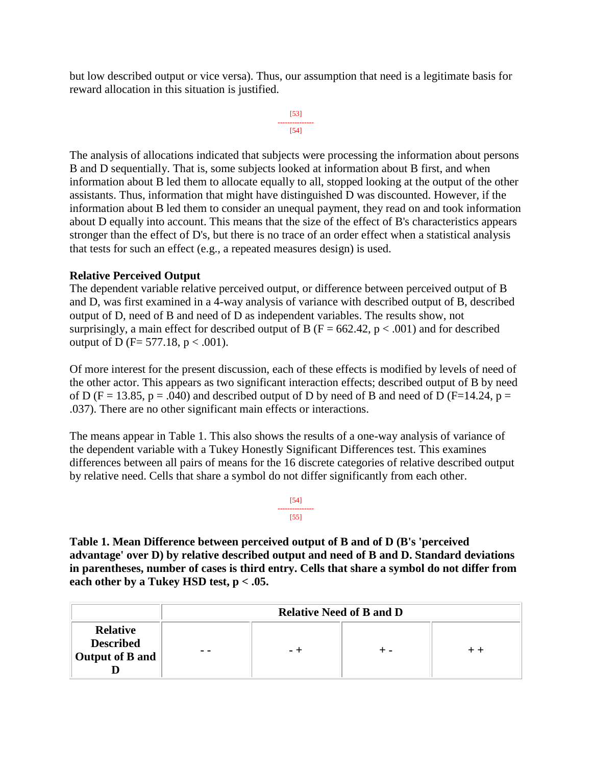but low described output or vice versa). Thus, our assumption that need is a legitimate basis for reward allocation in this situation is justified.

```
[53]
---------------
     [54]
```
The analysis of allocations indicated that subjects were processing the information about persons B and D sequentially. That is, some subjects looked at information about B first, and when information about B led them to allocate equally to all, stopped looking at the output of the other assistants. Thus, information that might have distinguished D was discounted. However, if the information about B led them to consider an unequal payment, they read on and took information about D equally into account. This means that the size of the effect of B's characteristics appears stronger than the effect of D's, but there is no trace of an order effect when a statistical analysis that tests for such an effect (e.g., a repeated measures design) is used.

## **Relative Perceived Output**

The dependent variable relative perceived output, or difference between perceived output of B and D, was first examined in a 4-way analysis of variance with described output of B, described output of D, need of B and need of D as independent variables. The results show, not surprisingly, a main effect for described output of B ( $F = 662.42$ ,  $p < .001$ ) and for described output of D (F= 577.18,  $p < .001$ ).

Of more interest for the present discussion, each of these effects is modified by levels of need of the other actor. This appears as two significant interaction effects; described output of B by need of D (F = 13.85, p = .040) and described output of D by need of B and need of D (F=14.24, p = .037). There are no other significant main effects or interactions.

The means appear in Table 1. This also shows the results of a one-way analysis of variance of the dependent variable with a Tukey Honestly Significant Differences test. This examines differences between all pairs of means for the 16 discrete categories of relative described output by relative need. Cells that share a symbol do not differ significantly from each other.

> [54] --------------- [55]

**Table 1. Mean Difference between perceived output of B and of D (B's 'perceived advantage' over D) by relative described output and need of B and D. Standard deviations in parentheses, number of cases is third entry. Cells that share a symbol do not differ from each other by a Tukey HSD test, p < .05.** 

|                                                        | <b>Relative Need of B and D</b> |  |  |  |
|--------------------------------------------------------|---------------------------------|--|--|--|
| <b>Relative</b><br><b>Described</b><br>Output of B and | - -                             |  |  |  |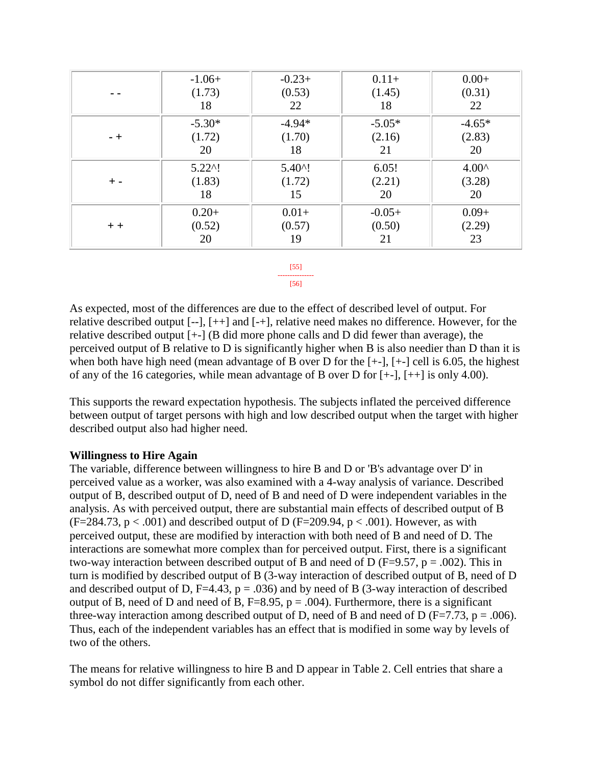|       | $-1.06+$          | $-0.23+$         | $0.11+$  | $0.00+$        |
|-------|-------------------|------------------|----------|----------------|
|       | (1.73)            | (0.53)           | (1.45)   | (0.31)         |
|       | 18                | 22               | 18       | 22             |
|       | $-5.30*$          | $-4.94*$         | $-5.05*$ | $-4.65*$       |
| $-+$  | (1.72)            | (1.70)           | (2.16)   | (2.83)         |
|       | 20                | 18               | 21       | 20             |
|       | $5.22^{\prime}$ ! | $5.40^{\circ}$ ! | 6.05!    | $4.00^{\circ}$ |
| $+ -$ | (1.83)            | (1.72)           | (2.21)   | (3.28)         |
|       | 18                | 15               | 20       | 20             |
|       | $0.20+$           | $0.01+$          | $-0.05+$ | $0.09+$        |
| $+ +$ | (0.52)            | (0.57)           | (0.50)   | (2.29)         |
|       | 20                | 19               | 21       | 23             |

#### [55] --------------- [56]

As expected, most of the differences are due to the effect of described level of output. For relative described output [--], [++] and [-+], relative need makes no difference. However, for the relative described output [+-] (B did more phone calls and D did fewer than average), the perceived output of B relative to D is significantly higher when B is also needier than D than it is when both have high need (mean advantage of B over D for the [+-], [+-] cell is 6.05, the highest of any of the 16 categories, while mean advantage of B over D for [+-], [++] is only 4.00).

This supports the reward expectation hypothesis. The subjects inflated the perceived difference between output of target persons with high and low described output when the target with higher described output also had higher need.

# **Willingness to Hire Again**

The variable, difference between willingness to hire B and D or 'B's advantage over D' in perceived value as a worker, was also examined with a 4-way analysis of variance. Described output of B, described output of D, need of B and need of D were independent variables in the analysis. As with perceived output, there are substantial main effects of described output of B  $(F=284.73, p < .001)$  and described output of D  $(F=209.94, p < .001)$ . However, as with perceived output, these are modified by interaction with both need of B and need of D. The interactions are somewhat more complex than for perceived output. First, there is a significant two-way interaction between described output of B and need of D (F=9.57, p = .002). This in turn is modified by described output of B (3-way interaction of described output of B, need of D and described output of D, F=4.43,  $p = .036$ ) and by need of B (3-way interaction of described output of B, need of D and need of B, F=8.95, p = .004). Furthermore, there is a significant three-way interaction among described output of D, need of B and need of D ( $F=7.73$ ,  $p=.006$ ). Thus, each of the independent variables has an effect that is modified in some way by levels of two of the others.

The means for relative willingness to hire B and D appear in Table 2. Cell entries that share a symbol do not differ significantly from each other.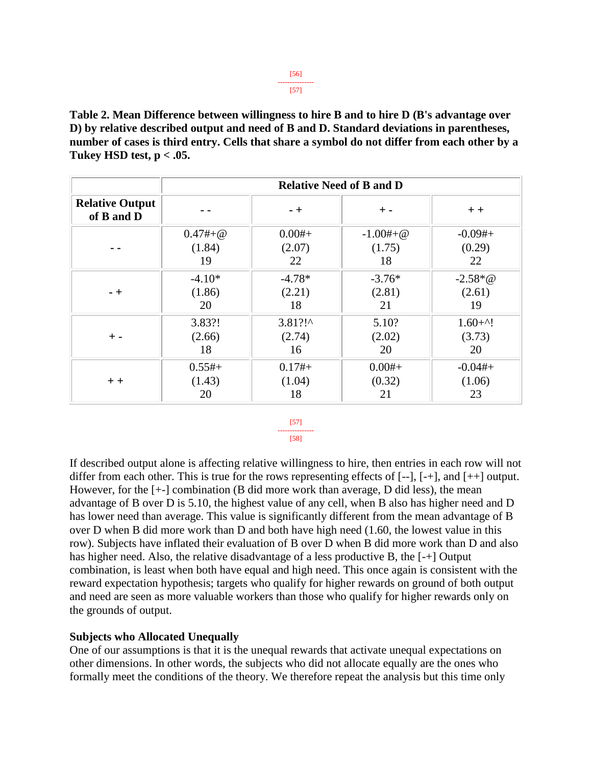**Table 2. Mean Difference between willingness to hire B and to hire D (B's advantage over D) by relative described output and need of B and D. Standard deviations in parentheses, number of cases is third entry. Cells that share a symbol do not differ from each other by a Tukey HSD test, p < .05.** 

|                                      | <b>Relative Need of B and D</b> |            |            |             |
|--------------------------------------|---------------------------------|------------|------------|-------------|
| <b>Relative Output</b><br>of B and D |                                 | $- +$      | $+$ -      | $+ +$       |
|                                      | $0.47#+@$                       | $0.00#+$   | $-1.00#+@$ | $-0.09#+$   |
|                                      | (1.84)                          | (2.07)     | (1.75)     | (0.29)      |
|                                      | 19                              | 22         | 18         | 22          |
| $-+$                                 | $-4.10*$                        | $-4.78*$   | $-3.76*$   | $-2.58 * @$ |
|                                      | (1.86)                          | (2.21)     | (2.81)     | (2.61)      |
|                                      | 20                              | 18         | 21         | 19          |
| $+ -$                                | 3.83?!                          | $3.81$ ?!^ | 5.10?      | $1.60 + 1$  |
|                                      | (2.66)                          | (2.74)     | (2.02)     | (3.73)      |
|                                      | 18                              | 16         | 20         | 20          |
| $+ +$                                | $0.55#+$                        | $0.17#+$   | $0.00#+$   | $-0.04#+$   |
|                                      | (1.43)                          | (1.04)     | (0.32)     | (1.06)      |
|                                      | 20                              | 18         | 21         | 23          |

#### [57] --------------- [58]

If described output alone is affecting relative willingness to hire, then entries in each row will not differ from each other. This is true for the rows representing effects of [--], [-+], and [++] output. However, for the [+-] combination (B did more work than average, D did less), the mean advantage of B over D is 5.10, the highest value of any cell, when B also has higher need and D has lower need than average. This value is significantly different from the mean advantage of B over D when B did more work than D and both have high need (1.60, the lowest value in this row). Subjects have inflated their evaluation of B over D when B did more work than D and also has higher need. Also, the relative disadvantage of a less productive B, the [-+] Output combination, is least when both have equal and high need. This once again is consistent with the reward expectation hypothesis; targets who qualify for higher rewards on ground of both output and need are seen as more valuable workers than those who qualify for higher rewards only on the grounds of output.

## **Subjects who Allocated Unequally**

One of our assumptions is that it is the unequal rewards that activate unequal expectations on other dimensions. In other words, the subjects who did not allocate equally are the ones who formally meet the conditions of the theory. We therefore repeat the analysis but this time only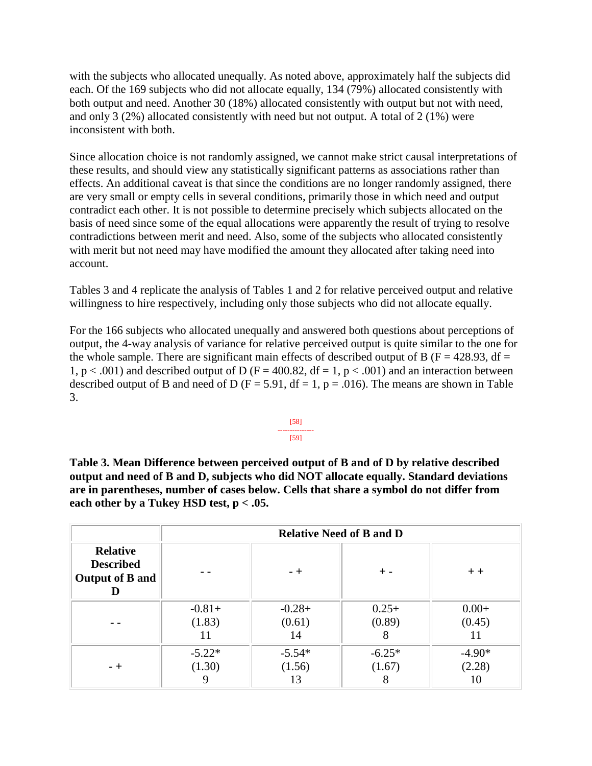with the subjects who allocated unequally. As noted above, approximately half the subjects did each. Of the 169 subjects who did not allocate equally, 134 (79%) allocated consistently with both output and need. Another 30 (18%) allocated consistently with output but not with need, and only 3 (2%) allocated consistently with need but not output. A total of 2 (1%) were inconsistent with both.

Since allocation choice is not randomly assigned, we cannot make strict causal interpretations of these results, and should view any statistically significant patterns as associations rather than effects. An additional caveat is that since the conditions are no longer randomly assigned, there are very small or empty cells in several conditions, primarily those in which need and output contradict each other. It is not possible to determine precisely which subjects allocated on the basis of need since some of the equal allocations were apparently the result of trying to resolve contradictions between merit and need. Also, some of the subjects who allocated consistently with merit but not need may have modified the amount they allocated after taking need into account.

Tables 3 and 4 replicate the analysis of Tables 1 and 2 for relative perceived output and relative willingness to hire respectively, including only those subjects who did not allocate equally.

For the 166 subjects who allocated unequally and answered both questions about perceptions of output, the 4-way analysis of variance for relative perceived output is quite similar to the one for the whole sample. There are significant main effects of described output of B ( $F = 428.93$ , df = 1,  $p < .001$ ) and described output of D (F = 400.82, df = 1,  $p < .001$ ) and an interaction between described output of B and need of D ( $F = 5.91$ ,  $df = 1$ ,  $p = .016$ ). The means are shown in Table 3.

$$
\begin{array}{c}\n [58] \\
 \overline{[59]} \\
 \end{array}
$$

**Table 3. Mean Difference between perceived output of B and of D by relative described output and need of B and D, subjects who did NOT allocate equally. Standard deviations are in parentheses, number of cases below. Cells that share a symbol do not differ from each other by a Tukey HSD test, p < .05.** 

|                                                               |          |          | <b>Relative Need of B and D</b> |          |  |
|---------------------------------------------------------------|----------|----------|---------------------------------|----------|--|
| <b>Relative</b><br><b>Described</b><br><b>Output of B and</b> |          | - +      | $+$ -                           | $+ +$    |  |
|                                                               | $-0.81+$ | $-0.28+$ | $0.25+$                         | $0.00+$  |  |
|                                                               | (1.83)   | (0.61)   | (0.89)                          | (0.45)   |  |
|                                                               | 11       | 14       | 8                               | 1 I      |  |
| $-+$                                                          | $-5.22*$ | $-5.54*$ | $-6.25*$                        | $-4.90*$ |  |
|                                                               | (1.30)   | (1.56)   | (1.67)                          | (2.28)   |  |
|                                                               | 9        | 13       | 8                               | 10       |  |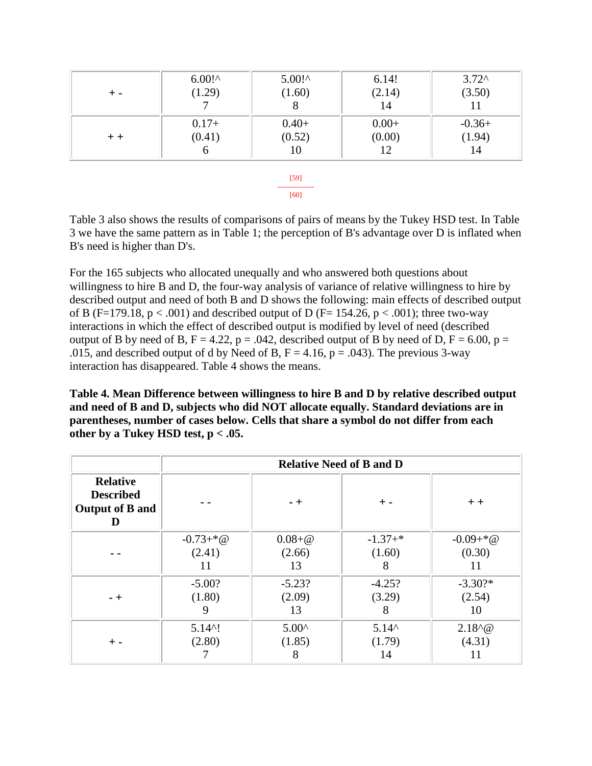| $+ -$ | $6.00!^{\circ}$<br>(1.29) | $5.00!^{\circ}$<br>(1.60) | 6.14!<br>(2.14)<br>14 | $3.72^{\circ}$<br>(3.50) |
|-------|---------------------------|---------------------------|-----------------------|--------------------------|
| $+ +$ | $0.17+$                   | $0.40+$                   | $0.00+$               | $-0.36+$                 |
|       | (0.41)                    | (0.52)                    | (0.00)                | (1.94)                   |
|       | O                         | 10                        | 12                    | 14                       |

[59] --------------- [60]

Table 3 also shows the results of comparisons of pairs of means by the Tukey HSD test. In Table 3 we have the same pattern as in Table 1; the perception of B's advantage over D is inflated when B's need is higher than D's.

For the 165 subjects who allocated unequally and who answered both questions about willingness to hire B and D, the four-way analysis of variance of relative willingness to hire by described output and need of both B and D shows the following: main effects of described output of B (F=179.18,  $p < .001$ ) and described output of D (F= 154.26,  $p < .001$ ); three two-way interactions in which the effect of described output is modified by level of need (described output of B by need of B,  $F = 4.22$ ,  $p = .042$ , described output of B by need of D,  $F = 6.00$ ,  $p =$ .015, and described output of d by Need of B,  $F = 4.16$ ,  $p = .043$ ). The previous 3-way interaction has disappeared. Table 4 shows the means.

**Table 4. Mean Difference between willingness to hire B and D by relative described output and need of B and D, subjects who did NOT allocate equally. Standard deviations are in parentheses, number of cases below. Cells that share a symbol do not differ from each other by a Tukey HSD test, p < .05.** 

|                                                               |                                 | <b>Relative Need of B and D</b> |                                |                             |  |
|---------------------------------------------------------------|---------------------------------|---------------------------------|--------------------------------|-----------------------------|--|
| <b>Relative</b><br><b>Described</b><br><b>Output of B and</b> |                                 | $-+$                            | $+ -$                          | $+ +$                       |  |
|                                                               | $-0.73+$ *@<br>(2.41)<br>11     | $0.08 + @$<br>(2.66)<br>13      | $-1.37+*$<br>(1.60)<br>8       | $-0.09+$ *@<br>(0.30)<br>11 |  |
| $-+$                                                          | $-5.00?$<br>(1.80)<br>9         | $-5.23?$<br>(2.09)<br>13        | $-4.25?$<br>(3.29)<br>8        | $-3.30?$ *<br>(2.54)<br>10  |  |
| + -                                                           | $5.14$ <sup>^</sup> !<br>(2.80) | $5.00^{\circ}$<br>(1.85)        | $5.14^{\circ}$<br>(1.79)<br>14 | $2.18^{6} @$<br>(4.31)      |  |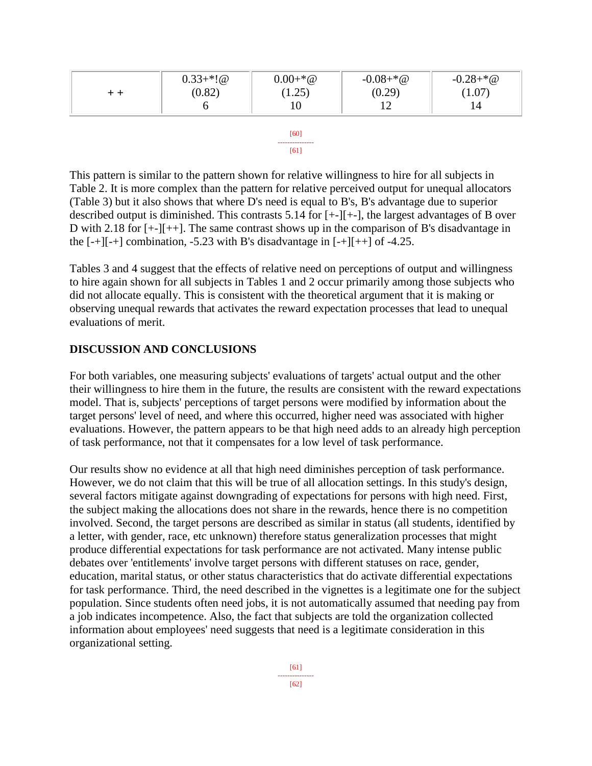| (0.29)<br>(0.82)<br>(1.07)<br>1.25)<br>14 | $0.33+*!@$ | $0.00 + * @$ | $-0.08+{}^{*}\omega$ | $-0.28+{}^{*}\omega$ |
|-------------------------------------------|------------|--------------|----------------------|----------------------|
|                                           |            |              |                      |                      |
|                                           |            |              |                      |                      |



This pattern is similar to the pattern shown for relative willingness to hire for all subjects in Table 2. It is more complex than the pattern for relative perceived output for unequal allocators (Table 3) but it also shows that where D's need is equal to B's, B's advantage due to superior described output is diminished. This contrasts 5.14 for [+-][+-], the largest advantages of B over D with 2.18 for [+-][++]. The same contrast shows up in the comparison of B's disadvantage in the  $[-+][-+]$  combination, -5.23 with B's disadvantage in  $[-+][++]$  of -4.25.

Tables 3 and 4 suggest that the effects of relative need on perceptions of output and willingness to hire again shown for all subjects in Tables 1 and 2 occur primarily among those subjects who did not allocate equally. This is consistent with the theoretical argument that it is making or observing unequal rewards that activates the reward expectation processes that lead to unequal evaluations of merit.

# **DISCUSSION AND CONCLUSIONS**

For both variables, one measuring subjects' evaluations of targets' actual output and the other their willingness to hire them in the future, the results are consistent with the reward expectations model. That is, subjects' perceptions of target persons were modified by information about the target persons' level of need, and where this occurred, higher need was associated with higher evaluations. However, the pattern appears to be that high need adds to an already high perception of task performance, not that it compensates for a low level of task performance.

Our results show no evidence at all that high need diminishes perception of task performance. However, we do not claim that this will be true of all allocation settings. In this study's design, several factors mitigate against downgrading of expectations for persons with high need. First, the subject making the allocations does not share in the rewards, hence there is no competition involved. Second, the target persons are described as similar in status (all students, identified by a letter, with gender, race, etc unknown) therefore status generalization processes that might produce differential expectations for task performance are not activated. Many intense public debates over 'entitlements' involve target persons with different statuses on race, gender, education, marital status, or other status characteristics that do activate differential expectations for task performance. Third, the need described in the vignettes is a legitimate one for the subject population. Since students often need jobs, it is not automatically assumed that needing pay from a job indicates incompetence. Also, the fact that subjects are told the organization collected information about employees' need suggests that need is a legitimate consideration in this organizational setting.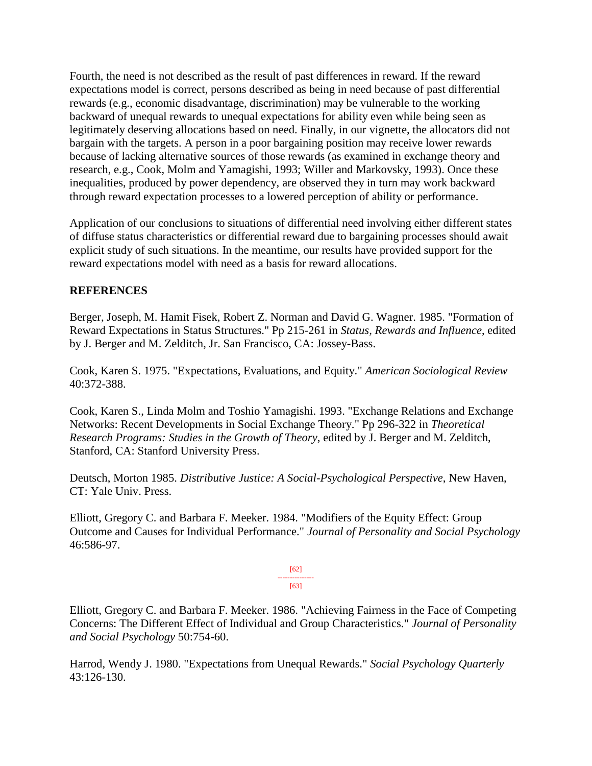Fourth, the need is not described as the result of past differences in reward. If the reward expectations model is correct, persons described as being in need because of past differential rewards (e.g., economic disadvantage, discrimination) may be vulnerable to the working backward of unequal rewards to unequal expectations for ability even while being seen as legitimately deserving allocations based on need. Finally, in our vignette, the allocators did not bargain with the targets. A person in a poor bargaining position may receive lower rewards because of lacking alternative sources of those rewards (as examined in exchange theory and research, e.g., Cook, Molm and Yamagishi, 1993; Willer and Markovsky, 1993). Once these inequalities, produced by power dependency, are observed they in turn may work backward through reward expectation processes to a lowered perception of ability or performance.

Application of our conclusions to situations of differential need involving either different states of diffuse status characteristics or differential reward due to bargaining processes should await explicit study of such situations. In the meantime, our results have provided support for the reward expectations model with need as a basis for reward allocations.

# **REFERENCES**

Berger, Joseph, M. Hamit Fisek, Robert Z. Norman and David G. Wagner. 1985. "Formation of Reward Expectations in Status Structures." Pp 215-261 in *Status, Rewards and Influence*, edited by J. Berger and M. Zelditch, Jr. San Francisco, CA: Jossey-Bass.

Cook, Karen S. 1975. "Expectations, Evaluations, and Equity." *American Sociological Review* 40:372-388.

Cook, Karen S., Linda Molm and Toshio Yamagishi. 1993. "Exchange Relations and Exchange Networks: Recent Developments in Social Exchange Theory." Pp 296-322 in *Theoretical Research Programs: Studies in the Growth of Theory*, edited by J. Berger and M. Zelditch, Stanford, CA: Stanford University Press.

Deutsch, Morton 1985. *Distributive Justice: A Social-Psychological Perspective*, New Haven, CT: Yale Univ. Press.

Elliott, Gregory C. and Barbara F. Meeker. 1984. "Modifiers of the Equity Effect: Group Outcome and Causes for Individual Performance." *Journal of Personality and Social Psychology* 46:586-97.

> [62] --------------- [63]

Elliott, Gregory C. and Barbara F. Meeker. 1986. "Achieving Fairness in the Face of Competing Concerns: The Different Effect of Individual and Group Characteristics." *Journal of Personality and Social Psychology* 50:754-60.

Harrod, Wendy J. 1980. "Expectations from Unequal Rewards." *Social Psychology Quarterly* 43:126-130.